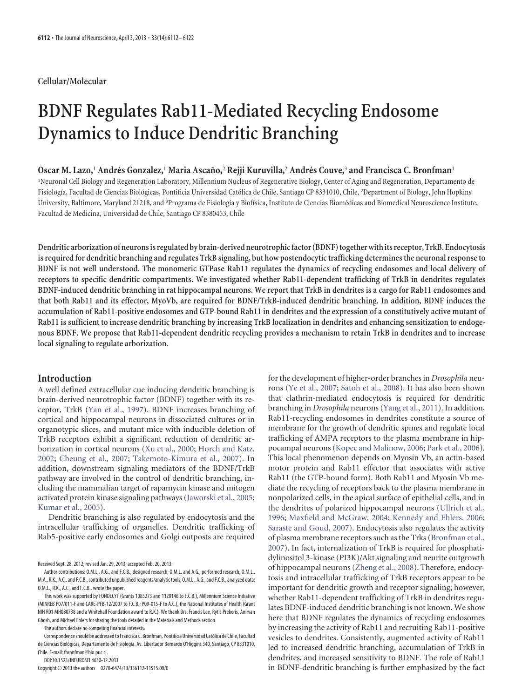## **Cellular/Molecular**

# **BDNF Regulates Rab11-Mediated Recycling Endosome Dynamics to Induce Dendritic Branching**

## **Oscar M. Lazo,**<sup>1</sup> **Andre´s Gonzalez,**<sup>1</sup> **Maria Ascan˜o,**<sup>2</sup> **Rejji Kuruvilla,**<sup>2</sup> **Andre´s Couve,**<sup>3</sup> **and Francisca C. Bronfman**<sup>1</sup>

1 Neuronal Cell Biology and Regeneration Laboratory, Millennium Nucleus of Regenerative Biology, Center of Aging and Regeneration, Departamento de Fisiología, Facultad de Ciencias Biológicas, Pontificia Universidad Católica de Chile, Santiago CP 8331010, Chile, <sup>2</sup>Department of Biology, John Hopkins University, Baltimore, Maryland 21218, and <sup>3</sup>Programa de Fisiología y Biofísica, Instituto de Ciencias Biomédicas and Biomedical Neuroscience Institute, Facultad de Medicina, Universidad de Chile, Santiago CP 8380453, Chile

Dendritic arborization of neurons is regulated by brain-derived neurotrophic factor (BDNF) together with its receptor, TrkB. Endocytosis **is required for dendritic branching and regulates TrkB signaling, but how postendocytic trafficking determines the neuronal response to BDNF is not well understood. The monomeric GTPase Rab11 regulates the dynamics of recycling endosomes and local delivery of receptors to specific dendritic compartments. We investigated whether Rab11-dependent trafficking of TrkB in dendrites regulates BDNF-induced dendritic branching in rat hippocampal neurons. We report that TrkB in dendrites is a cargo for Rab11 endosomes and that both Rab11 and its effector, MyoVb, are required for BDNF/TrkB-induced dendritic branching. In addition, BDNF induces the accumulation of Rab11-positive endosomes and GTP-bound Rab11 in dendrites and the expression of a constitutively active mutant of Rab11 is sufficient to increase dendritic branching by increasing TrkB localization in dendrites and enhancing sensitization to endogenous BDNF. We propose that Rab11-dependent dendritic recycling provides a mechanism to retain TrkB in dendrites and to increase local signaling to regulate arborization.**

## **Introduction**

A well defined extracellular cue inducing dendritic branching is brain-derived neurotrophic factor (BDNF) together with its receptor, TrkB [\(Yan et al., 1997\)](#page-10-0). BDNF increases branching of cortical and hippocampal neurons in dissociated cultures or in organotypic slices, and mutant mice with inducible deletion of TrkB receptors exhibit a significant reduction of dendritic arborization in cortical neurons [\(Xu et al., 2000;](#page-10-1) [Horch and Katz,](#page-10-2) [2002;](#page-10-2) [Cheung et al., 2007;](#page-9-0) [Takemoto-Kimura et al., 2007\)](#page-10-3). In addition, downstream signaling mediators of the BDNF/TrkB pathway are involved in the control of dendritic branching, including the mammalian target of rapamycin kinase and mitogen activated protein kinase signaling pathways [\(Jaworski et al., 2005;](#page-10-4) [Kumar et al., 2005\)](#page-10-5).

Dendritic branching is also regulated by endocytosis and the intracellular trafficking of organelles. Dendritic trafficking of Rab5-positive early endosomes and Golgi outposts are required

Received Sept. 28, 2012; revised Jan. 29, 2013; accepted Feb. 20, 2013.

The authors declare no competing financial interests.

Correspondence should be addressed to Francisca C. Bronfman, Pontificia Universidad Católica de Chile, Facultad de Ciencias Biológicas, Departamento de Fisiología. Av. Libertador Bernardo O'Higgins 340, Santiago, CP 8331010, Chile. E-mail: fbronfman@bio.puc.cl.

DOI:10.1523/JNEUROSCI.4630-12.2013

Copyright © 2013 the authors 0270-6474/13/336112-11\$15.00/0

for the development of higher-order branches in *Drosophila* neurons [\(Ye et al., 2007;](#page-11-0) [Satoh et al., 2008\)](#page-10-6). It has also been shown that clathrin-mediated endocytosis is required for dendritic branching in *Drosophila* neurons [\(Yang et al., 2011\)](#page-11-1). In addition, Rab11-recycling endosomes in dendrites constitute a source of membrane for the growth of dendritic spines and regulate local trafficking of AMPA receptors to the plasma membrane in hippocampal neurons [\(Kopec and Malinow, 2006;](#page-10-7) [Park et al., 2006\)](#page-10-8). This local phenomenon depends on Myosin Vb, an actin-based motor protein and Rab11 effector that associates with active Rab11 (the GTP-bound form). Both Rab11 and Myosin Vb mediate the recycling of receptors back to the plasma membrane in nonpolarized cells, in the apical surface of epithelial cells, and in the dendrites of polarized hippocampal neurons [\(Ullrich et al.,](#page-10-9) [1996;](#page-10-9) [Maxfield and McGraw, 2004;](#page-10-10) [Kennedy and Ehlers, 2006;](#page-10-11) [Saraste and Goud, 2007\)](#page-10-12). Endocytosis also regulates the activity of plasma membrane receptors such as the Trks [\(Bronfman et al.,](#page-9-1) [2007\)](#page-9-1). In fact, internalization of TrkB is required for phosphatidylinositol 3-kinase (PI3K)/Akt signaling and neurite outgrowth of hippocampal neurons [\(Zheng et al., 2008\)](#page-11-2). Therefore, endocytosis and intracellular trafficking of TrkB receptors appear to be important for dendritic growth and receptor signaling; however, whether Rab11-dependent trafficking of TrkB in dendrites regulates BDNF-induced dendritic branching is not known. We show here that BDNF regulates the dynamics of recycling endosomes by increasing the activity of Rab11 and recruiting Rab11-positive vesicles to dendrites. Consistently, augmented activity of Rab11 led to increased dendritic branching, accumulation of TrkB in dendrites, and increased sensitivity to BDNF. The role of Rab11 in BDNF-dendritic branching is further emphasized by the fact

Author contributions: O.M.L., A.G., and F.C.B., designed research; O.M.L. and A.G., performed research; O.M.L., M.A., R.K., A.C., and F.C.B., contributed unpublished reagents/analytic tools; O.M.L., A.G., and F.C.B., analyzed data; O.M.L., R.K., A.C., and F.C.B., wrote the paper.

This work was supported by FONDECYT (Grants 1085273 and 1120146 to F.C.B.), Millennium Science Initiative (MINREB P07/011-F and CARE-PFB-12/2007 to F.C.B.; P09-015-F to A.C.), the National Institutes of Health (Grant NIH R01 MH080738 and a Whitehall Foundation award to R.K.). We thank Drs. Francis Lee, Rytis Prekeris, Anirvan Ghosh, and Michael Ehlers for sharing the tools detailed in the Materials and Methods section.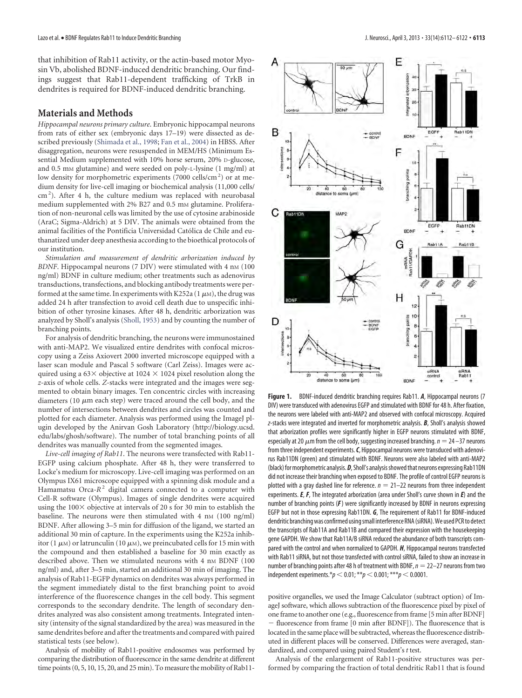that inhibition of Rab11 activity, or the actin-based motor Myosin Vb, abolished BDNF-induced dendritic branching. Our findings suggest that Rab11-dependent trafficking of TrkB in dendrites is required for BDNF-induced dendritic branching.

#### **Materials and Methods**

*Hippocampal neurons primary culture*. Embryonic hippocampal neurons from rats of either sex (embryonic days 17–19) were dissected as described previously [\(Shimada et al., 1998;](#page-10-13) [Fan et al., 2004\)](#page-9-2) in HBSS. After disaggregation, neurons were resuspended in MEM/HS (Minimum Essential Medium supplemented with 10% horse serum, 20% D-glucose, and 0.5 mm glutamine) and were seeded on poly-L-lysine (1 mg/ml) at low density for morphometric experiments (7000 cells/cm<sup>2</sup>) or at medium density for live-cell imaging or biochemical analysis (11,000 cells/ cm<sup>2</sup>). After 4 h, the culture medium was replaced with neurobasal medium supplemented with 2% B27 and 0.5 mm glutamine. Proliferation of non-neuronal cells was limited by the use of cytosine arabinoside (AraC; Sigma-Aldrich) at 5 DIV. The animals were obtained from the animal facilities of the Pontificia Universidad Católica de Chile and euthanatized under deep anesthesia according to the bioethical protocols of our institution.

*Stimulation and measurement of dendritic arborization induced by* BDNF. Hippocampal neurons (7 DIV) were stimulated with 4 nM (100 ng/ml) BDNF in culture medium; other treatments such as adenovirus transductions, transfections, and blocking antibody treatments were performed at the same time. In experiments with K252a (1 $\mu$ M), the drug was added 24 h after transfection to avoid cell death due to unspecific inhibition of other tyrosine kinases. After 48 h, dendritic arborization was analyzed by Sholl's analysis [\(Sholl, 1953\)](#page-10-14) and by counting the number of branching points.

For analysis of dendritic branching, the neurons were immunostained with anti-MAP2. We visualized entire dendrites with confocal microscopy using a Zeiss Axiovert 2000 inverted microscope equipped with a laser scan module and Pascal 5 software (Carl Zeiss). Images were acquired using a 63 $\times$  objective at 1024  $\times$  1024 pixel resolution along the *z*-axis of whole cells. *Z*-stacks were integrated and the images were segmented to obtain binary images. Ten concentric circles with increasing diameters (10  $\mu$ m each step) were traced around the cell body, and the number of intersections between dendrites and circles was counted and plotted for each diameter. Analysis was performed using the ImageJ plugin developed by the Anirvan Gosh Laboratory [\(http://biology.ucsd.](http://biology.ucsd.edu/labs/ghosh/software) [edu/labs/ghosh/software\)](http://biology.ucsd.edu/labs/ghosh/software). The number of total branching points of all dendrites was manually counted from the segmented images.

*Live*-*cell imaging of Rab11*. The neurons were transfected with Rab11- EGFP using calcium phosphate. After 48 h, they were transferred to Locke's medium for microscopy. Live-cell imaging was performed on an Olympus IX61 microscope equipped with a spinning disk module and a Hamamatsu Orca-*R*<sup>2</sup> digital camera connected to a computer with Cell-R software (Olympus). Images of single dendrites were acquired using the  $100 \times$  objective at intervals of 20 s for 30 min to establish the baseline. The neurons were then stimulated with  $4 \text{ nm}$  (100 ng/ml) BDNF. After allowing 3–5 min for diffusion of the ligand, we started an additional 30 min of capture. In the experiments using the K252a inhibitor (1  $\mu$ M) or latrunculin (10  $\mu$ M), we preincubated cells for 15 min with the compound and then established a baseline for 30 min exactly as described above. Then we stimulated neurons with 4 nm BDNF (100 ng/ml) and, after 3–5 min, started an additional 30 min of imaging. The analysis of Rab11-EGFP dynamics on dendrites was always performed in the segment immediately distal to the first branching point to avoid interference of the fluorescence changes in the cell body. This segment corresponds to the secondary dendrite. The length of secondary dendrites analyzed was also consistent among treatments. Integrated intensity (intensity of the signal standardized by the area) was measured in the same dendrites before and after the treatments and compared with paired statistical tests (see below).

Analysis of mobility of Rab11-positive endosomes was performed by comparing the distribution of fluorescence in the same dendrite at different time points (0, 5, 10, 15, 20, and 25 min). To measure the mobility of Rab11-



<span id="page-1-0"></span>**Figure 1.** BDNF-induced dendritic branching requires Rab11. *A*, Hippocampal neurons (7 DIV) were transduced with adenovirus EGFP and stimulated with BDNF for 48 h. After fixation, the neurons were labeled with anti-MAP2 and observed with confocal microscopy. Acquired *z*-stacks were integrated and inverted for morphometric analysis. *B*, Sholl's analysis showed that arborization profiles were significantly higher in EGFP neurons stimulated with BDNF, especially at 20  $\mu$ m from the cell body, suggesting increased branching.  $n = 24 - 37$  neurons from three independent experiments.*C*, Hippocampal neurons were transduced with adenovirus Rab11DN (green) and stimulated with BDNF. Neurons were also labeled with anti-MAP2 (black) for morphometric analysis. **D**, Sholl's analysis showed that neurons expressing Rab11DN did not increase their branching when exposed to BDNF. The profile of control EGFP neurons is plotted with a gray dashed line for reference.  $n = 21-22$  neurons from three independent experiments. *E*, *F*, The integrated arborization (area under Sholl's curve shown in *E*) and the number of branching points (*F*) were significantly increased by BDNF in neurons expressing EGFP but not in those expressing Rab11DN. *G*, The requirement of Rab11 for BDNF-induced dendritic branching was confirmed using small interference RNA (siRNA). We used PCR to detect the transcripts of Rab11A and Rab11B and compared their expression with the housekeeping gene GAPDH. We show that Rab11A/B siRNA reduced the abundance of both transcripts compared with the control and when normalized to GAPDH. *H*, Hippocampal neurons transfected with Rab11 siRNA, but not those transfected with control siRNA, failed to show an increase in number of branching points after 48 h of treatment with BDNF,  $n = 22-27$  neurons from two independent experiments.\* $p < 0.01$ ; \*\* $p < 0.001$ ; \*\*\* $p < 0.0001$ .

positive organelles, we used the Image Calculator (subtract option) of ImageJ software, which allows subtraction of the fluorescence pixel by pixel of one frame to another one (e.g., fluorescence from frame [5 min after BDNF] - fluorescence from frame [0 min after BDNF]). The fluorescence that is located in the same place will be subtracted, whereas the fluorescence distributed in different places will be conserved. Differences were averaged, standardized, and compared using paired Student's *t* test.

Analysis of the enlargement of Rab11-positive structures was performed by comparing the fraction of total dendritic Rab11 that is found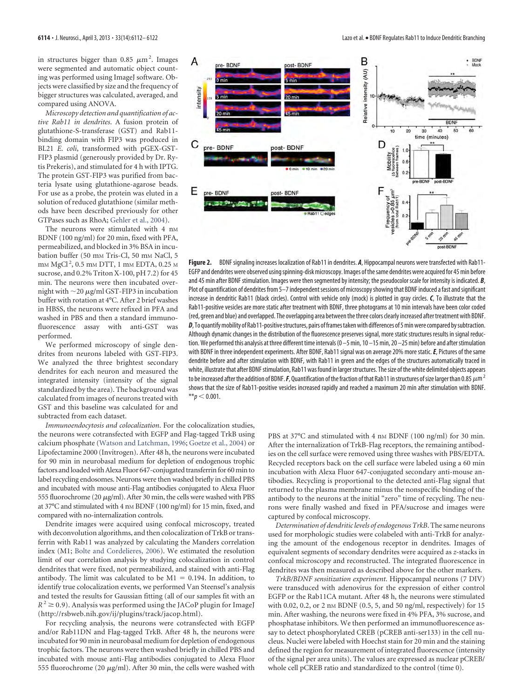in structures bigger than 0.85  $\mu$ m<sup>2</sup>. Images were segmented and automatic object counting was performed using ImageJ software. Objects were classified by size and the frequency of bigger structures was calculated, averaged, and compared using ANOVA.

*Microscopy detection and quantification of active Rab11 in dendrites*. A fusion protein of glutathione-S-transferase (GST) and Rab11 binding domain with FIP3 was produced in BL21 *E*. *coli*, transformed with pGEX-GST-FIP3 plasmid (generously provided by Dr. Rytis Prekeris), and stimulated for 4 h with IPTG. The protein GST-FIP3 was purified from bacteria lysate using glutathione-agarose beads. For use as a probe, the protein was eluted in a solution of reduced glutathione (similar methods have been described previously for other GTPases such as RhoA; [Gehler et al., 2004\)](#page-9-3).

The neurons were stimulated with  $4$  nm BDNF (100 ng/ml) for 20 min, fixed with PFA, permeabilized, and blocked in 3% BSA in incubation buffer (50 mm Tris-Cl, 50 mm NaCl, 5 mm MgCl<sup>2</sup>, 0.5 mm DTT, 1 mm EDTA, 0.25 m sucrose, and 0.2% Triton X-100, pH 7.2) for 45 min. The neurons were then incubated overnight with  $\sim$  20  $\mu$ g/ml GST-FIP3 in incubation buffer with rotation at 4°C. After 2 brief washes in HBSS, the neurons were refixed in PFA and washed in PBS and then a standard immunofluorescence assay with anti-GST was performed.

We performed microscopy of single dendrites from neurons labeled with GST-FIP3. We analyzed the three brightest secondary dendrites for each neuron and measured the integrated intensity (intensity of the signal standardized by the area). The background was calculated from images of neurons treated with GST and this baseline was calculated for and subtracted from each dataset.

*Immunoendocytosis and colocalization*. For the colocalization studies, the neurons were cotransfected with EGFP and Flag-tagged TrkB using calcium phosphate [\(Watson and Latchman, 1996;](#page-9-4) [Goetze et al., 2004\)](#page-9-4) or Lipofectamine 2000 (Invitrogen). After 48 h, the neurons were incubated for 90 min in neurobasal medium for depletion of endogenous trophic factors and loaded with Alexa Fluor 647-conjugated transferrin for 60 min to label recycling endosomes. Neurons were then washed briefly in chilled PBS and incubated with mouse anti-Flag antibodies conjugated to Alexa Fluor 555 fluorochrome (20  $\mu$ g/ml). After 30 min, the cells were washed with PBS at 37°C and stimulated with 4 nM BDNF (100 ng/ml) for 15 min, fixed, and compared with no-internalization controls.

Dendrite images were acquired using confocal microscopy, treated with deconvolution algorithms, and then colocalization of TrkB or transferrin with Rab11 was analyzed by calculating the Manders correlation index (M1; [Bolte and Cordelieres, 2006\)](#page-9-5). We estimated the resolution limit of our correlation analysis by studying colocalization in control dendrites that were fixed, not permeabilized, and stained with anti-Flag antibody. The limit was calculated to be  $M1 = 0.194$ . In addition, to identify true colocalization events, we performed Van Steensel's analysis and tested the results for Gaussian fitting (all of our samples fit with an  $R^2 \ge 0.9$ ). Analysis was performed using the JACoP plugin for ImageJ [\(http://rsbweb.nih.gov/ij/plugins/track/jacop.html\)](http://rsbweb.nih.gov/ij/plugins/track/jacop.html).

For recycling analysis, the neurons were cotransfected with EGFP and/or Rab11DN and Flag-tagged TrkB. After 48 h, the neurons were incubated for 90 min in neurobasal medium for depletion of endogenous trophic factors. The neurons were then washed briefly in chilled PBS and incubated with mouse anti-Flag antibodies conjugated to Alexa Fluor 555 fluorochrome (20  $\mu$ g/ml). After 30 min, the cells were washed with



<span id="page-2-0"></span>**Figure 2.** BDNF signaling increases localization of Rab11 in dendrites. *A*, Hippocampal neurons were transfected with Rab11- EGFP and dendrites were observed using spinning-disk microscopy. Images of the same dendrites were acquired for 45 min before and 45 min after BDNF stimulation. Images were then segmented by intensity; the pseudocolor scale for intensity is indicated. *B*, Plot of quantification of dendrites from 5-7 independent sessions of microscopy showing that BDNF induced a fast and significant increase in dendritic Rab11 (black circles). Control with vehicle only (mock) is plotted in gray circles. *C*, To illustrate that the Rab11-positive vesicles are more static after treatment with BDNF, three photograms at 10 min intervals have been color coded (red, green and blue) and overlapped. The overlapping area between the three colors clearly increased after treatment with BDNF. D, To quantify mobility of Rab11-positive structures, pairs of frames taken with differences of 5 min were compared by subtraction. Although dynamic changes in the distribution of the fluorescence preserves signal, more static structures results in signal reduction. We performed this analysis at three different time intervals (0 –5 min, 10 –15 min, 20 –25 min) before and after stimulation with BDNF in three independent experiments. After BDNF, Rab11 signal was on average 20% more static.*E*, Pictures of the same dendrite before and after stimulation with BDNF, with Rab11 in green and the edges of the structures automatically traced in white, illustrate that after BDNF stimulation, Rab11 was found in larger structures. The size of the white delimited objects appears to be increased after the addition of BDNF. F, Quantification of the fraction of that Rab11 in structures of size larger than 0.85  $\mu$ m<sup>2</sup> shows that the size of Rab11-positive vesicles increased rapidly and reached a maximum 20 min after stimulation with BDNF.  $**p < 0.001$ .

PBS at 37°C and stimulated with 4 nm BDNF (100 ng/ml) for 30 min. After the internalization of TrkB-Flag receptors, the remaining antibodies on the cell surface were removed using three washes with PBS/EDTA. Recycled receptors back on the cell surface were labeled using a 60 min incubation with Alexa Fluor 647-conjugated secondary anti-mouse antibodies. Recycling is proportional to the detected anti-Flag signal that returned to the plasma membrane minus the nonspecific binding of the antibody to the neurons at the initial "zero" time of recycling. The neurons were finally washed and fixed in PFA/sucrose and images were captured by confocal microscopy.

*Determination of dendritic levels of endogenous TrkB*. The same neurons used for morphologic studies were colabeled with anti-TrkB for analyzing the amount of the endogenous receptor in dendrites. Images of equivalent segments of secondary dendrites were acquired as *z*-stacks in confocal microscopy and reconstructed. The integrated fluorescence in dendrites was then measured as described above for the other markers.

*TrkB/BDNF sensitization experiment*. Hippocampal neurons (7 DIV) were transduced with adenovirus for the expression of either control EGFP or the Rab11CA mutant. After 48 h, the neurons were stimulated with 0.02, 0.2, or 2 nm BDNF (0.5, 5, and 50 ng/ml, respectively) for 15 min. After washing, the neurons were fixed in 4% PFA, 3% sucrose, and phosphatase inhibitors. We then performed an immunofluorescence assay to detect phosphorylated CREB (pCREB anti-ser133) in the cell nucleus. Nuclei were labeled with Hoechst stain for 20 min and the staining defined the region for measurement of integrated fluorescence (intensity of the signal per area units). The values are expressed as nuclear pCREB/ whole cell pCREB ratio and standardized to the control (time 0).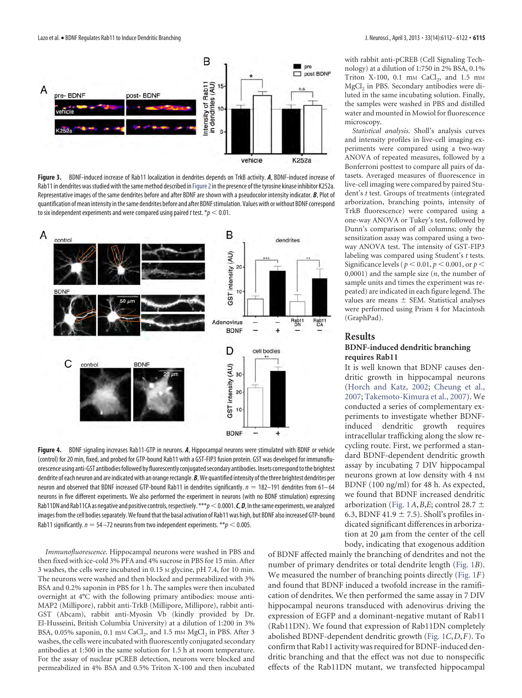

<span id="page-3-0"></span>**Figure 3.** BDNF-induced increase of Rab11 localization in dendrites depends on TrkB activity. *A*, BDNF-induced increase of Rab11 in dendrites was studied with the same method described in [Figure 2](#page-2-0) in the presence of the tyrosine kinase inhibitor K252a. Representative images of the same dendrites before and after BDNF are shown with a pseudocolor intensity indicator. *B*, Plot of quantification ofmean intensity inthesame dendrites before and after BDNFstimulation. Values with or without BDNF correspond to six independent experiments and were compared using paired *t* test.  $p < 0.01$ .



<span id="page-3-1"></span>**Figure 4.** BDNF signaling increases Rab11-GTP in neurons. *A*, Hippocampal neurons were stimulated with BDNF or vehicle (control) for 20 min, fixed, and probed for GTP-bound Rab11 with a GST-FIP3 fusion protein. GST was developed for immunofluorescence using anti-GST antibodies followed by fluorescently conjugated secondary antibodies. Insets correspond to the brightest dendrite of each neuron and are indicated with an orange rectangle. *B*, We quantified intensity of the three brightest dendrites per neuron and observed that BDNF increased GTP-bound Rab11 in dendrites significantly.  $n = 182-191$  dendrites from 61-64 neurons in five different experiments. We also performed the experiment in neurons (with no BDNF stimulation) expressing Rab11DN and Rab11CA as negative and positive controls, respectively. \*\*\**p* < 0.0001. *C*, *D*, In the same experiments, we analyzed images from the cell bodies separately. We found that the basal activation of Rab11 was high, but BDNF also increased GTP-bound Rab11 significantly.  $n = 54 - 72$  neurons from two independent experiments. \*\* $p < 0.005$ .

*Immunofluorescence*. Hippocampal neurons were washed in PBS and then fixed with ice-cold 3% PFA and 4% sucrose in PBS for 15 min. After 3 washes, the cells were incubated in 0.15 M glycine, pH 7.4, for 10 min. The neurons were washed and then blocked and permeabilized with 3% BSA and 0.2% saponin in PBS for 1 h. The samples were then incubated overnight at 4°C with the following primary antibodies: mouse anti-MAP2 (Millipore), rabbit anti-TrkB (Millipore, Millipore), rabbit anti-GST (Abcam), rabbit anti-Myosin Vb (kindly provided by Dr. El-Husseini, British Columbia University) at a dilution of 1:200 in 3% BSA,  $0.05\%$  saponin,  $0.1 \text{ mm }$ CaCl<sub>2</sub>, and  $1.5 \text{ mm }$ MgCl<sub>2</sub> in PBS. After 3 washes, the cells were incubated with fluorescently conjugated secondary antibodies at 1:500 in the same solution for 1.5 h at room temperature. For the assay of nuclear pCREB detection, neurons were blocked and permeabilized in 4% BSA and 0.5% Triton X-100 and then incubated with rabbit anti-pCREB (Cell Signaling Technology) at a dilution of 1:750 in 2% BSA, 0.1% Triton X-100, 0.1 mm CaCl<sub>2</sub>, and 1.5 mm MgCl<sub>2</sub> in PBS. Secondary antibodies were diluted in the same incubating solution. Finally, the samples were washed in PBS and distilled water and mounted in Mowiol for fluorescence microscopy.

*Statistical analysis*. Sholl's analysis curves and intensity profiles in live-cell imaging experiments were compared using a two-way ANOVA of repeated measures, followed by a Bonferroni posttest to compare all pairs of datasets. Averaged measures of fluorescence in live-cell imaging were compared by paired Student's *t* test. Groups of treatments (integrated arborization, branching points, intensity of TrkB fluorescence) were compared using a one-way ANOVA or Tukey's test, followed by Dunn's comparison of all columns; only the sensitization assay was compared using a twoway ANOVA test. The intensity of GST-FIP3 labeling was compared using Student's *t* tests. Significance levels ( $p < 0.01$ ,  $p < 0.001$ , or  $p <$ 0,0001) and the sample size (*n*, the number of sample units and times the experiment was repeated) are indicated in each figure legend. The values are means  $\pm$  SEM. Statistical analyses were performed using Prism 4 for Macintosh (GraphPad).

#### **Results**

#### **BDNF-induced dendritic branching requires Rab11**

It is well known that BDNF causes dendritic growth in hippocampal neurons [\(Horch and Katz, 2002;](#page-10-2) [Cheung et al.,](#page-9-0) [2007;](#page-9-0) [Takemoto-Kimura et al., 2007\)](#page-10-3). We conducted a series of complementary experiments to investigate whether BDNFinduced dendritic growth requires intracellular trafficking along the slow recycling route. First, we performed a standard BDNF-dependent dendritic growth assay by incubating 7 DIV hippocampal neurons grown at low density with 4 nM BDNF (100 ng/ml) for 48 h. As expected, we found that BDNF increased dendritic arborization [\(Fig. 1](#page-1-0)*A*, *B*, *E*; control 28.7  $\pm$ 6.3, BDNF 41.9  $\pm$  7.5). Sholl's profiles indicated significant differences in arborization at 20  $\mu$ m from the center of the cell body, indicating that exogenous addition

of BDNF affected mainly the branching of dendrites and not the number of primary dendrites or total dendrite length [\(Fig. 1](#page-1-0)*B*). We measured the number of branching points directly [\(Fig. 1](#page-1-0)*F*) and found that BDNF induced a twofold increase in the ramification of dendrites. We then performed the same assay in 7 DIV hippocampal neurons transduced with adenovirus driving the expression of EGFP and a dominant-negative mutant of Rab11 (Rab11DN). We found that expression of Rab11DN completely abolished BDNF-dependent dendritic growth [\(Fig. 1](#page-1-0)*C*,*D*,*F*). To confirm that Rab11 activity was required for BDNF-induced dendritic branching and that the effect was not due to nonspecific effects of the Rab11DN mutant, we transfected hippocampal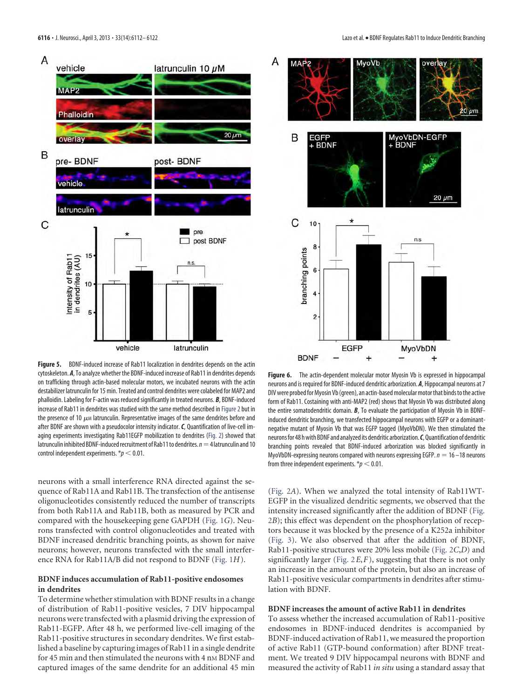



<span id="page-4-0"></span>**Figure 5.** BDNF-induced increase of Rab11 localization in dendrites depends on the actin cytoskeleton. *A*, To analyze whether the BDNF-induced increase of Rab11 in dendrites depends on trafficking through actin-based molecular motors, we incubated neurons with the actin destabilizer latrunculin for 15 min. Treated and control dendrites were colabeled for MAP2 and phalloidin. Labeling for F-actin was reduced significantly in treated neurons. *B*, BDNF-induced increase of Rab11 in dendrites was studied with the same method described in [Figure 2](#page-2-0) but in the presence of 10  $\mu$ M latrunculin. Representative images of the same dendrites before and after BDNF are shown with a pseudocolor intensity indicator.*C*, Quantification of live-cell imaging experiments investigating Rab11EGFP mobilization to dendrites [\(Fig. 2\)](#page-2-0) showed that latrunculin inhibited BDNF-induced recruitment of Rab11 to dendrites.  $n=4$  latrunculin and 10 control independent experiments.  $p < 0.01$ .

neurons with a small interference RNA directed against the sequence of Rab11A and Rab11B. The transfection of the antisense oligonucleotides consistently reduced the number of transcripts from both Rab11A and Rab11B, both as measured by PCR and compared with the housekeeping gene GAPDH [\(Fig. 1](#page-1-0)*G*). Neurons transfected with control oligonucleotides and treated with BDNF increased dendritic branching points, as shown for naive neurons; however, neurons transfected with the small interference RNA for Rab11A/B did not respond to BDNF [\(Fig. 1](#page-1-0)*H*).

#### **BDNF induces accumulation of Rab11-positive endosomes in dendrites**

To determine whether stimulation with BDNF results in a change of distribution of Rab11-positive vesicles, 7 DIV hippocampal neurons were transfected with a plasmid driving the expression of Rab11-EGFP. After 48 h, we performed live-cell imaging of the Rab11-positive structures in secondary dendrites. We first established a baseline by capturing images of Rab11 in a single dendrite for 45 min and then stimulated the neurons with 4 nM BDNF and captured images of the same dendrite for an additional 45 min

<span id="page-4-1"></span>**Figure 6.** The actin-dependent molecular motor Myosin Vb is expressed in hippocampal neurons and is required for BDNF-induced dendritic arborization. *A*, Hippocampal neurons at 7 DIV were probed for Myosin Vb (green), an actin-based molecular motor that binds to the active form of Rab11. Costaining with anti-MAP2 (red) shows that Myosin Vb was distributed along the entire somatodendritic domain. *B*, To evaluate the participation of Myosin Vb in BDNFinduced dendritic branching, we transfected hippocampal neurons with EGFP or a dominantnegative mutant of Myosin Vb that was EGFP tagged (MyoVbDN). We then stimulated the neuronsfor 48 hwith BDNF and analyzed its dendritic arborization.*C*,Quantification of dendritic branching points revealed that BDNF-induced arborization was blocked significantly in MyoVbDN-expressing neurons compared with neurons expressing EGFP.  $n = 16 - 18$  neurons from three independent experiments.  $* p < 0.01$ .

[\(Fig. 2](#page-2-0)*A*). When we analyzed the total intensity of Rab11WT-EGFP in the visualized dendritic segments, we observed that the intensity increased significantly after the addition of BDNF [\(Fig.](#page-2-0) [2](#page-2-0)*B*); this effect was dependent on the phosphorylation of receptors because it was blocked by the presence of a K252a inhibitor [\(Fig. 3\)](#page-3-0). We also observed that after the addition of BDNF, Rab11-positive structures were 20% less mobile [\(Fig. 2](#page-2-0)*C*,*D*) and significantly larger [\(Fig. 2](#page-2-0)*E*,*F*), suggesting that there is not only an increase in the amount of the protein, but also an increase of Rab11-positive vesicular compartments in dendrites after stimulation with BDNF.

#### **BDNF increases the amount of active Rab11 in dendrites**

To assess whether the increased accumulation of Rab11-positive endosomes in BDNF-induced dendrites is accompanied by BDNF-induced activation of Rab11, we measured the proportion of active Rab11 (GTP-bound conformation) after BDNF treatment. We treated 9 DIV hippocampal neurons with BDNF and measured the activity of Rab11 *in situ* using a standard assay that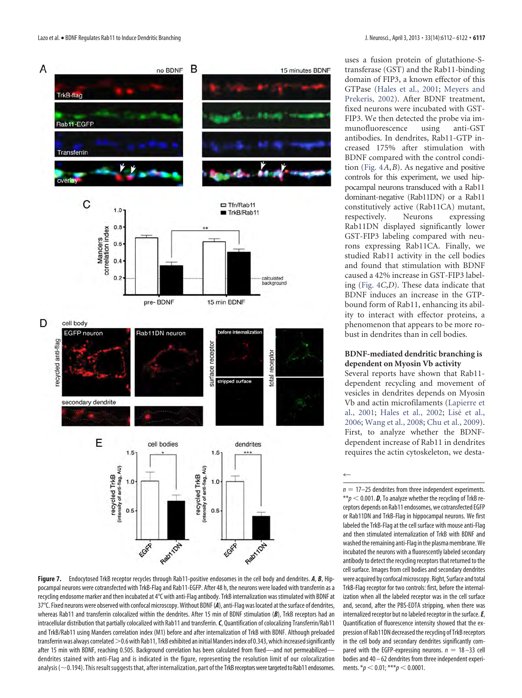

<span id="page-5-0"></span>**Figure 7.** Endocytosed TrkB receptor recycles through Rab11-positive endosomes in the cell body and dendrites. *A*, *B*, Hippocampal neurons were cotransfected with TrkB-Flag and Rab11-EGFP. After 48 h, the neurons were loaded with transferrin as a recycling endosome marker and then incubated at 4°C with anti-Flag antibody. TrkB internalization was stimulated with BDNF at 37°C. Fixed neurons were observed with confocal microscopy.Without BDNF (*A*), anti-Flag was located at thesurface of dendrites, whereas Rab11 and transferrin colocalized within the dendrites. After 15 min of BDNF stimulation (*B*), TrkB receptors had an intracellular distribution that partially colocalized with Rab11 and transferrin.*C*, Quantification of colocalizing Transferrin/Rab11 and TrkB/Rab11 using Manders correlation index (M1) before and after internalization of TrkB with BDNF. Although preloaded transferrin was always correlated  $>$  0.6 with Rab11, TrkB exhibited an initial Manders index of 0.343, which increased significantly after 15 min with BDNF, reaching 0.505. Background correlation has been calculated from fixed—and not permeabilized dendrites stained with anti-Flag and is indicated in the figure, representing the resolution limit of our colocalization analysis ( $\sim$  0.194). This result suggests that, after internalization, part of the TrkB receptors were targeted to Rab11 endosomes.

uses a fusion protein of glutathione-Stransferase (GST) and the Rab11-binding domain of FIP3, a known effector of this GTPase [\(Hales et al., 2001;](#page-10-15) [Meyers and](#page-10-16) [Prekeris, 2002\)](#page-10-16). After BDNF treatment, fixed neurons were incubated with GST-FIP3. We then detected the probe via immunofluorescence using anti-GST antibodies. In dendrites, Rab11-GTP increased 175% after stimulation with BDNF compared with the control condition [\(Fig. 4](#page-3-1)*A*,*B*). As negative and positive controls for this experiment, we used hippocampal neurons transduced with a Rab11 dominant-negative (Rab11DN) or a Rab11 constitutively active (Rab11CA) mutant, respectively. Neurons expressing Rab11DN displayed significantly lower GST-FIP3 labeling compared with neurons expressing Rab11CA. Finally, we studied Rab11 activity in the cell bodies and found that stimulation with BDNF caused a 42% increase in GST-FIP3 labeling [\(Fig. 4](#page-3-1)*C*,*D*). These data indicate that BDNF induces an increase in the GTPbound form of Rab11, enhancing its ability to interact with effector proteins, a phenomenon that appears to be more robust in dendrites than in cell bodies.

#### **BDNF-mediated dendritic branching is dependent on Myosin Vb activity**

Several reports have shown that Rab11 dependent recycling and movement of vesicles in dendrites depends on Myosin Vb and actin microfilaments [\(Lapierre et](#page-10-17) [al., 2001;](#page-10-17) [Hales et al., 2002;](#page-10-18) Lisé et al., [2006;](#page-10-19) [Wang et al., 2008;](#page-10-20) [Chu et al., 2009\)](#page-9-6). First, to analyze whether the BDNFdependent increase of Rab11 in dendrites requires the actin cytoskeleton, we desta-

 $\leftarrow$ 

 $n = 17-25$  dendrites from three independent experiments.  $**p < 0.001$ . **D**, To analyze whether the recycling of TrkB receptors depends on Rab11 endosomes, we cotransfected EGFP or Rab11DN and TrkB-Flag in hippocampal neurons. We first labeled the TrkB-Flag at the cell surface with mouse anti-Flag and then stimulated internalization of TrkB with BDNF and washed the remaining anti-Flag in the plasma membrane. We incubated the neurons with a fluorescently labeled secondary antibody to detect the recycling receptors that returned to the cell surface. Images from cell bodies and secondary dendrites were acquired by confocal microscopy. Right, Surface and total TrkB-Flag receptor for two controls: first, before the internalization when all the labeled receptor was in the cell surface and, second, after the PBS-EDTA stripping, when there was internalized receptor but no labeled receptor in the surface. **E**, Quantification of fluorescence intensity showed that the expression of Rab11DN decreased the recycling of TrkB receptors in the cell body and secondary dendrites significantly compared with the EGFP-expressing neurons.  $n = 18 - 33$  cell bodies and 40 – 62 dendrites from three independent experiments.  $*_p$  < 0.01;  $^{***}$ *p* < 0.0001.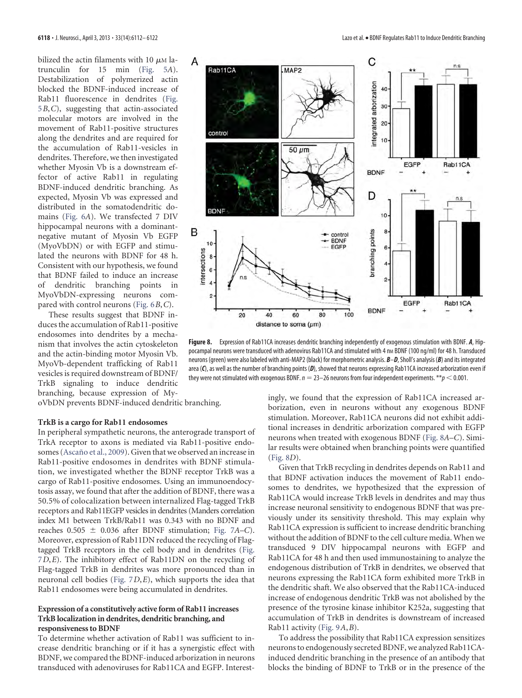bilized the actin filaments with 10  $\mu$ M latrunculin for 15 min [\(Fig. 5](#page-4-0)*A*). Destabilization of polymerized actin blocked the BDNF-induced increase of Rab11 fluorescence in dendrites [\(Fig.](#page-4-0) [5](#page-4-0)*B*,*C*), suggesting that actin-associated molecular motors are involved in the movement of Rab11-positive structures along the dendrites and are required for the accumulation of Rab11-vesicles in dendrites. Therefore, we then investigated whether Myosin Vb is a downstream effector of active Rab11 in regulating BDNF-induced dendritic branching. As expected, Myosin Vb was expressed and distributed in the somatodendritic domains [\(Fig. 6](#page-4-1)*A*). We transfected 7 DIV hippocampal neurons with a dominantnegative mutant of Myosin Vb EGFP (MyoVbDN) or with EGFP and stimulated the neurons with BDNF for 48 h. Consistent with our hypothesis, we found that BDNF failed to induce an increase of dendritic branching points in MyoVbDN-expressing neurons compared with control neurons [\(Fig. 6](#page-4-1)*B*,*C*).

These results suggest that BDNF induces the accumulation of Rab11-positive endosomes into dendrites by a mechanism that involves the actin cytoskeleton and the actin-binding motor Myosin Vb. MyoVb-dependent trafficking of Rab11 vesicles is required downstream of BDNF/ TrkB signaling to induce dendritic branching, because expression of My-

oVbDN prevents BDNF-induced dendritic branching.

#### **TrkB is a cargo for Rab11 endosomes**

In peripheral sympathetic neurons, the anterograde transport of TrkA receptor to axons is mediated via Rab11-positive endosomes (Ascaño et al., 2009). Given that we observed an increase in Rab11-positive endosomes in dendrites with BDNF stimulation, we investigated whether the BDNF receptor TrkB was a cargo of Rab11-positive endosomes. Using an immunoendocytosis assay, we found that after the addition of BDNF, there was a 50.5% of colocalization between internalized Flag-tagged TrkB receptors and Rab11EGFP vesicles in dendrites (Manders correlation index M1 between TrkB/Rab11 was 0.343 with no BDNF and reaches  $0.505 \pm 0.036$  after BDNF stimulation; [Fig. 7](#page-5-0)*A*–*C*). Moreover, expression of Rab11DN reduced the recycling of Flagtagged TrkB receptors in the cell body and in dendrites [\(Fig.](#page-5-0) [7](#page-5-0)*D*,*E*). The inhibitory effect of Rab11DN on the recycling of Flag-tagged TrkB in dendrites was more pronounced than in neuronal cell bodies [\(Fig. 7](#page-5-0)*D*,*E*), which supports the idea that Rab11 endosomes were being accumulated in dendrites.

#### **Expression of a constitutively active form of Rab11 increases TrkB localization in dendrites, dendritic branching, and responsiveness to BDNF**

To determine whether activation of Rab11 was sufficient to increase dendritic branching or if it has a synergistic effect with BDNF, we compared the BDNF-induced arborization in neurons transduced with adenoviruses for Rab11CA and EGFP. Interest-



<span id="page-6-0"></span>**Figure 8.** Expression of Rab11CA increases dendritic branching independently of exogenous stimulation with BDNF. *A*, Hippocampal neurons were transduced with adenovirus Rab11CA and stimulated with 4 nm BDNF (100 ng/ml) for 48 h. Transduced neurons (green) were also labeled with anti-MAP2 (black) for morphometric analysis. *B*–*D*, Sholl's analysis (*B*) and its integrated area (C), as well as the number of branching points (D), showed that neurons expressing Rab11CA increased arborization even if they were not stimulated with exogenous BDNF.  $n = 23-26$  neurons from four independent experiments.  $**p < 0.001$ .

ingly, we found that the expression of Rab11CA increased arborization, even in neurons without any exogenous BDNF stimulation. Moreover, Rab11CA neurons did not exhibit additional increases in dendritic arborization compared with EGFP neurons when treated with exogenous BDNF [\(Fig. 8](#page-6-0)*A*–*C*). Similar results were obtained when branching points were quantified [\(Fig. 8](#page-6-0)*D*).

Given that TrkB recycling in dendrites depends on Rab11 and that BDNF activation induces the movement of Rab11 endosomes to dendrites, we hypothesized that the expression of Rab11CA would increase TrkB levels in dendrites and may thus increase neuronal sensitivity to endogenous BDNF that was previously under its sensitivity threshold. This may explain why Rab11CA expression is sufficient to increase dendritic branching without the addition of BDNF to the cell culture media. When we transduced 9 DIV hippocampal neurons with EGFP and Rab11CA for 48 h and then used immunostaining to analyze the endogenous distribution of TrkB in dendrites, we observed that neurons expressing the Rab11CA form exhibited more TrkB in the dendritic shaft. We also observed that the Rab11CA-induced increase of endogenous dendritic TrkB was not abolished by the presence of the tyrosine kinase inhibitor K252a, suggesting that accumulation of TrkB in dendrites is downstream of increased Rab11 activity [\(Fig. 9](#page-7-0)*A*,*B*).

To address the possibility that Rab11CA expression sensitizes neurons to endogenously secreted BDNF, we analyzed Rab11CAinduced dendritic branching in the presence of an antibody that blocks the binding of BDNF to TrkB or in the presence of the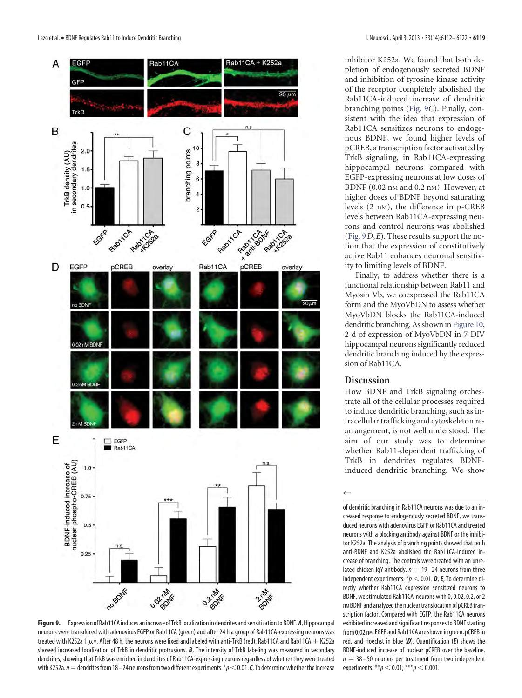

<span id="page-7-0"></span>**Figure9.** Expression of Rab11CA induces an increase of TrkB localization in dendrites andsensitizationto BDNF.*A*,Hippocampal neurons were transduced with adenovirus EGFP or Rab11CA (green) and after 24 h a group of Rab11CA-expressing neurons was treated with K252a 1  $\mu$ m. After 48 h, the neurons were fixed and labeled with anti-TrkB (red). Rab11CA and Rab11CA + K252a showed increased localization of TrkB in dendritic protrusions. *B*, The intensity of TrkB labeling was measured in secondary dendrites, showing that TrkB was enriched in dendrites of Rab11CA-expressing neurons regardless of whether they were treated with K252a.  $n =$  dendrites from 18 –24 neurons from two different experiments. \* $p < 0.01$ . *C*, To determine whether the increase

inhibitor K252a. We found that both depletion of endogenously secreted BDNF and inhibition of tyrosine kinase activity of the receptor completely abolished the Rab11CA-induced increase of dendritic branching points [\(Fig. 9](#page-7-0)*C*). Finally, consistent with the idea that expression of Rab11CA sensitizes neurons to endogenous BDNF, we found higher levels of pCREB, a transcription factor activated by TrkB signaling, in Rab11CA-expressing hippocampal neurons compared with EGFP-expressing neurons at low doses of BDNF (0.02 nM and 0.2 nM). However, at higher doses of BDNF beyond saturating levels (2 nM), the difference in p-CREB levels between Rab11CA-expressing neurons and control neurons was abolished [\(Fig. 9](#page-7-0)*D*,*E*). These results support the notion that the expression of constitutively active Rab11 enhances neuronal sensitivity to limiting levels of BDNF.

Finally, to address whether there is a functional relationship between Rab11 and Myosin Vb, we coexpressed the Rab11CA form and the MyoVbDN to assess whether MyoVbDN blocks the Rab11CA-induced dendritic branching. As shown in [Figure 10,](#page-8-0) 2 d of expression of MyoVbDN in 7 DIV hippocampal neurons significantly reduced dendritic branching induced by the expression of Rab11CA.

# **Discussion**

 $\leftarrow$ 

How BDNF and TrkB signaling orchestrate all of the cellular processes required to induce dendritic branching, such as intracellular trafficking and cytoskeleton rearrangement, is not well understood. The aim of our study was to determine whether Rab11-dependent trafficking of TrkB in dendrites regulates BDNFinduced dendritic branching. We show

of dendritic branching in Rab11CA neurons was due to an increased response to endogenously secreted BDNF, we transduced neurons with adenovirus EGFP or Rab11CA and treated neurons with a blocking antibody against BDNF or the inhibitor K252a. The analysis of branching points showed that both anti-BDNF and K252a abolished the Rab11CA-induced increase of branching. The controls were treated with an unrelated chicken IqY antibody.  $n = 19 - 24$  neurons from three independent experiments.  $p < 0.01$ . **D**, **E**, To determine directly whether Rab11CA expression sensitized neurons to BDNF, we stimulated Rab11CA-neurons with 0, 0.02, 0.2, or 2 nMBDNF and analyzed the nuclear translocation of pCREB transcription factor. Compared with EGFP, the Rab11CA neurons exhibited increased and significant responses to BDNF starting from 0.02 nm. EGFP and Rab11CA are shown in green, pCREB in red, and Hoechst in blue (*D*). Quantification (*E*) shows the BDNF-induced increase of nuclear pCREB over the baseline.  $n = 38 - 50$  neurons per treatment from two independent experiments.  $* p < 0.01$ ;  $* * p < 0.001$ .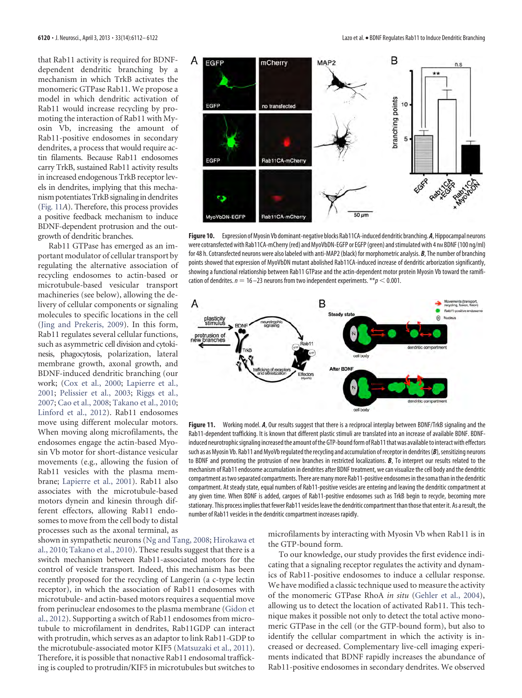that Rab11 activity is required for BDNFdependent dendritic branching by a mechanism in which TrkB activates the monomeric GTPase Rab11. We propose a model in which dendritic activation of Rab11 would increase recycling by promoting the interaction of Rab11 with Myosin Vb, increasing the amount of Rab11-positive endosomes in secondary dendrites, a process that would require actin filaments. Because Rab11 endosomes carry TrkB, sustained Rab11 activity results in increased endogenous TrkB receptor levels in dendrites, implying that this mechanism potentiatesTrkB signalingin dendrites [\(Fig. 11](#page-8-1)*A*). Therefore, this process provides a positive feedback mechanism to induce BDNF-dependent protrusion and the outgrowth of dendritic branches.

Rab11 GTPase has emerged as an important modulator of cellular transport by regulating the alternative association of recycling endosomes to actin-based or microtubule-based vesicular transport machineries (see below), allowing the delivery of cellular components or signaling molecules to specific locations in the cell [\(Jing and Prekeris, 2009\)](#page-10-21). In this form, Rab11 regulates several cellular functions, such as asymmetric cell division and cytokinesis, phagocytosis, polarization, lateral membrane growth, axonal growth, and BDNF-induced dendritic branching (our work; [\(Cox et al., 2000;](#page-9-8) [Lapierre et al.,](#page-10-17) [2001;](#page-10-17) [Pelissier et al., 2003;](#page-10-22) [Riggs et al.,](#page-10-23) [2007;](#page-10-23) [Cao et al., 2008;](#page-9-9) [Takano et al., 2010;](#page-10-24) [Linford et al., 2012\)](#page-10-25). Rab11 endosomes move using different molecular motors. When moving along microfilaments, the endosomes engage the actin-based Myosin Vb motor for short-distance vesicular movements (e.g., allowing the fusion of Rab11 vesicles with the plasma membrane; [Lapierre et al., 2001\)](#page-10-17). Rab11 also associates with the microtubule-based motors dynein and kinesin through different effectors, allowing Rab11 endosomes to move from the cell body to distal processes such as the axonal terminal, as



<span id="page-8-0"></span>**Figure 10.** Expression ofMyosin Vb dominant-negative blocks Rab11CA-induced dendritic branching.*A*,Hippocampal neurons were cotransfected with Rab11CA-mCherry (red) and MyoVbDN-EGFP or EGFP (green) and stimulated with 4 nM BDNF (100 ng/ml) for 48 h. Cotransfected neurons were also labeled with anti-MAP2 (black) for morphometric analysis. *B*, The number of branching points showed that expression of MyoVbDN mutant abolished Rab11CA-induced increase of dendritic arborization significantly, showing a functional relationship between Rab11 GTPase and the actin-dependent motor protein Myosin Vb toward the ramification of dendrites.  $n = 16 - 23$  neurons from two independent experiments. \*\* $p < 0.001$ .



<span id="page-8-1"></span>Figure 11. Working model. A, Our results suggest that there is a reciprocal interplay between BDNF/TrkB signaling and the Rab11-dependent trafficking. It is known that different plastic stimuli are translated into an increase of available BDNF. BDNFinduced neurotrophic signaling increased the amount of the GTP-bound form of Rab11 that was available to interact with effectors such as as Myosin Vb. Rab11 and MyoVb regulated the recycling and accumulation of receptor in dendrites (B), sensitizing neurons to BDNF and promoting the protrusion of new branches in restricted localizations. *B*, To interpret our results related to the mechanism of Rab11 endosome accumulation in dendrites after BDNF treatment, we can visualize the cell body and the dendritic compartment astwoseparated compartments. There are many more Rab11-positive endosomes inthesomathan inthe dendritic compartment. At steady state, equal numbers of Rab11-positive vesicles are entering and leaving the dendritic compartment at any given time. When BDNF is added, cargoes of Rab11-positive endosomes such as TrkB begin to recycle, becoming more stationary. This process implies that fewer Rab11 vesicles leave the dendritic compartment than those that enter it. As a result, the number of Rab11 vesicles in the dendritic compartment increases rapidly.

shown in sympathetic neurons [\(Ng and Tang, 2008;](#page-10-26) [Hirokawa et](#page-10-27) [al., 2010;](#page-10-27) [Takano et al., 2010\)](#page-10-24). These results suggest that there is a switch mechanism between Rab11-associated motors for the control of vesicle transport. Indeed, this mechanism has been recently proposed for the recycling of Langerin (a c-type lectin receptor), in which the association of Rab11 endosomes with microtubule- and actin-based motors requires a sequential move from perinuclear endosomes to the plasma membrane [\(Gidon et](#page-9-10) [al., 2012\)](#page-9-10). Supporting a switch of Rab11 endosomes from microtubule to microfilament in dendrites, Rab11GDP can interact with protrudin, which serves as an adaptor to link Rab11-GDP to the microtubule-associated motor KIF5 [\(Matsuzaki et al., 2011\)](#page-10-28). Therefore, it is possible that nonactive Rab11 endosomal trafficking is coupled to protrudin/KIF5 in microtubules but switches to

microfilaments by interacting with Myosin Vb when Rab11 is in the GTP-bound form.

To our knowledge, our study provides the first evidence indicating that a signaling receptor regulates the activity and dynamics of Rab11-positive endosomes to induce a cellular response. We have modified a classic technique used to measure the activity of the monomeric GTPase RhoA *in situ* [\(Gehler et al., 2004\)](#page-9-3), allowing us to detect the location of activated Rab11. This technique makes it possible not only to detect the total active monomeric GTPase in the cell (or the GTP-bound form), but also to identify the cellular compartment in which the activity is increased or decreased. Complementary live-cell imaging experiments indicated that BDNF rapidly increases the abundance of Rab11-positive endosomes in secondary dendrites. We observed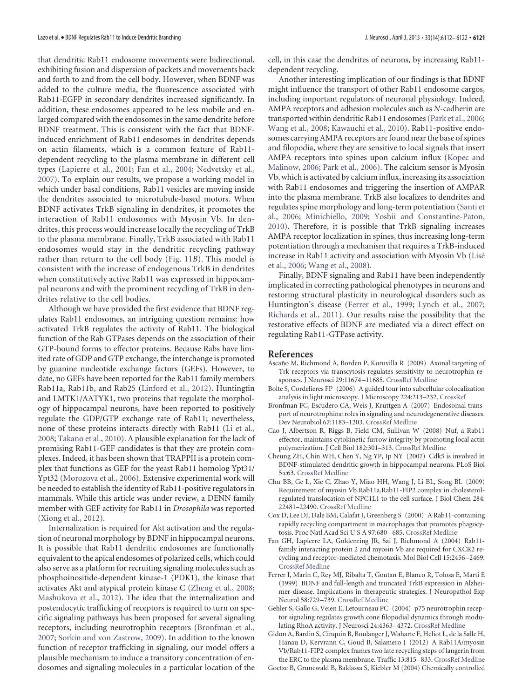that dendritic Rab11 endosome movements were bidirectional, exhibiting fusion and dispersion of packets and movements back and forth to and from the cell body. However, when BDNF was added to the culture media, the fluorescence associated with Rab11-EGFP in secondary dendrites increased significantly. In addition, these endosomes appeared to be less mobile and enlarged compared with the endosomes in the same dendrite before BDNF treatment. This is consistent with the fact that BDNFinduced enrichment of Rab11 endosomes in dendrites depends on actin filaments, which is a common feature of Rab11 dependent recycling to the plasma membrane in different cell types [\(Lapierre et al., 2001;](#page-10-17) [Fan et al., 2004;](#page-9-2) [Nedvetsky et al.,](#page-10-29) [2007\)](#page-10-29). To explain our results, we propose a working model in which under basal conditions, Rab11 vesicles are moving inside the dendrites associated to microtubule-based motors. When BDNF activates TrkB signaling in dendrites, it promotes the interaction of Rab11 endosomes with Myosin Vb. In dendrites, this process would increase locally the recycling of TrkB to the plasma membrane. Finally, TrkB associated with Rab11 endosomes would stay in the dendritic recycling pathway rather than return to the cell body [\(Fig. 11](#page-8-1)*B*). This model is consistent with the increase of endogenous TrkB in dendrites when constitutively active Rab11 was expressed in hippocampal neurons and with the prominent recycling of TrkB in dendrites relative to the cell bodies.

Although we have provided the first evidence that BDNF regulates Rab11 endosomes, an intriguing question remains: how activated TrkB regulates the activity of Rab11. The biological function of the Rab GTPases depends on the association of their GTP-bound forms to effector proteins. Because Rabs have limited rate of GDP and GTP exchange, the interchange is promoted by guanine nucleotide exchange factors (GEFs). However, to date, no GEFs have been reported for the Rab11 family members Rab11a, Rab11b, and Rab25 [\(Linford et al., 2012\)](#page-10-25). Huntingtin and LMTK1/AATYK1, two proteins that regulate the morphology of hippocampal neurons, have been reported to positively regulate the GDP/GTP exchange rate of Rab11; nevertheless, none of these proteins interacts directly with Rab11 [\(Li et al.,](#page-10-30) [2008;](#page-10-30) [Takano et al., 2010\)](#page-10-24). A plausible explanation for the lack of promising Rab11-GEF candidates is that they are protein complexes. Indeed, it has been shown that TRAPPII is a protein complex that functions as GEF for the yeast Rab11 homolog Ypt31/ Ypt32 [\(Morozova et al., 2006\)](#page-10-31). Extensive experimental work will be needed to establish the identity of Rab11-positive regulators in mammals. While this article was under review, a DENN family member with GEF activity for Rab11 in *Drosophila* was reported [\(Xiong et al., 2012\)](#page-10-32).

Internalization is required for Akt activation and the regulation of neuronal morphology by BDNF in hippocampal neurons. It is possible that Rab11 dendritic endosomes are functionally equivalent to the apical endosomes of polarized cells, which could also serve as a platform for recruiting signaling molecules such as phosphoinositide-dependent kinase-1 (PDK1), the kinase that activates Akt and atypical protein kinase C [\(Zheng et al., 2008;](#page-11-2) [Mashukova et al., 2012\)](#page-10-33). The idea that the internalization and postendocytic trafficking of receptors is required to turn on specific signaling pathways has been proposed for several signaling receptors, including neurotrophin receptors [\(Bronfman et al.,](#page-9-1) [2007;](#page-9-1) [Sorkin and von Zastrow, 2009\)](#page-10-34). In addition to the known function of receptor trafficking in signaling, our model offers a plausible mechanism to induce a transitory concentration of endosomes and signaling molecules in a particular location of the cell, in this case the dendrites of neurons, by increasing Rab11 dependent recycling.

Another interesting implication of our findings is that BDNF might influence the transport of other Rab11 endosome cargos, including important regulators of neuronal physiology. Indeed, AMPA receptors and adhesion molecules such as *N*-cadherin are transported within dendritic Rab11 endosomes [\(Park et al., 2006;](#page-10-8) [Wang et al., 2008;](#page-10-20) [Kawauchi et al., 2010\)](#page-10-35). Rab11-positive endosomes carrying AMPA receptors are found near the base of spines and filopodia, where they are sensitive to local signals that insert AMPA receptors into spines upon calcium influx [\(Kopec and](#page-10-7) [Malinow, 2006;](#page-10-7) [Park et al., 2006\)](#page-10-8). The calcium sensor is Myosin Vb, which is activated by calcium influx, increasing its association with Rab11 endosomes and triggering the insertion of AMPAR into the plasma membrane. TrkB also localizes to dendrites and regulates spine morphology and long-term potentiation [\(Santi et](#page-10-36) [al., 2006;](#page-10-36) [Minichiello, 2009;](#page-10-37) [Yoshii and Constantine-Paton,](#page-11-3) [2010\)](#page-11-3). Therefore, it is possible that TrkB signaling increases AMPA receptor localization in spines, thus increasing long-term potentiation through a mechanism that requires a TrkB-induced increase in Rab11 activity and association with Myosin Vb [\(Lise´](#page-10-19) [et al., 2006;](#page-10-19) [Wang et al., 2008\)](#page-10-20).

Finally, BDNF signaling and Rab11 have been independently implicated in correcting pathological phenotypes in neurons and restoring structural plasticity in neurological disorders such as Huntington's disease [\(Ferrer et al., 1999;](#page-9-11) [Lynch et al., 2007;](#page-10-38) [Richards et al., 2011\)](#page-10-39). Our results raise the possibility that the restorative effects of BDNF are mediated via a direct effect on regulating Rab11-GTPase activity.

#### <span id="page-9-7"></span>**References**

- Ascaño M, Richmond A, Borden P, Kuruvilla R (2009) Axonal targeting of Trk receptors via transcytosis regulates sensitivity to neurotrophin responses. J Neurosci 29:11674 –11685. [CrossRef](http://dx.doi.org/10.1523/JNEUROSCI.1542-09.2009) [Medline](http://www.ncbi.nlm.nih.gov/pubmed/19759314)
- <span id="page-9-5"></span>Bolte S, Cordelieres FP (2006) A guided tour into subcellular colocalization analysis in light microscopy. J Microscopy 224:213–232. [CrossRef](http://dx.doi.org/10.1111/j.1365-2818.2006.01706.x)
- <span id="page-9-1"></span>Bronfman FC, Escudero CA, Weis J, Kruttgen A (2007) Endosomal transport of neurotrophins: roles in signaling and neurodegenerative diseases. Dev Neurobiol 67:1183–1203. [CrossRef](http://dx.doi.org/10.1002/dneu.20513) [Medline](http://www.ncbi.nlm.nih.gov/pubmed/17514710)
- <span id="page-9-9"></span>Cao J, Albertson R, Riggs B, Field CM, Sullivan W (2008) Nuf, a Rab11 effector, maintains cytokinetic furrow integrity by promoting local actin polymerization. J Cell Biol 182:301–313. [CrossRef](http://dx.doi.org/10.1083/jcb.200712036) [Medline](http://www.ncbi.nlm.nih.gov/pubmed/18644888)
- <span id="page-9-0"></span>Cheung ZH, Chin WH, Chen Y, Ng YP, Ip NY (2007) Cdk5 is involved in BDNF-stimulated dendritic growth in hippocampal neurons. PLoS Biol 5:e63. [CrossRef](http://dx.doi.org/10.1371/journal.pbio.0050063) [Medline](http://www.ncbi.nlm.nih.gov/pubmed/17341134)
- <span id="page-9-6"></span>Chu BB, Ge L, Xie C, Zhao Y, Miao HH, Wang J, Li BL, Song BL (2009) Requirement of myosin Vb.Rab11a.Rab11-FIP2 complex in cholesterolregulated translocation of NPC1L1 to the cell surface. J Biol Chem 284: 22481–22490. [CrossRef](http://dx.doi.org/10.1074/jbc.M109.034355) [Medline](http://www.ncbi.nlm.nih.gov/pubmed/19542231)
- <span id="page-9-8"></span>Cox D, Lee DJ, Dale BM, Calafat J, Greenberg S (2000) A Rab11-containing rapidly recycling compartment in macrophages that promotes phagocytosis. Proc Natl Acad Sci U S A 97:680 –685. [CrossRef](http://dx.doi.org/10.1073/pnas.97.2.680) [Medline](http://www.ncbi.nlm.nih.gov/pubmed/10639139)
- <span id="page-9-2"></span>Fan GH, Lapierre LA, Goldenring JR, Sai J, Richmond A (2004) Rab11 family interacting protein 2 and myosin Vb are required for CXCR2 recycling and receptor-mediated chemotaxis. Mol Biol Cell 15:2456 –2469. [CrossRef](http://dx.doi.org/10.1091/mbc.E03-09-0706) [Medline](http://www.ncbi.nlm.nih.gov/pubmed/15004234)
- <span id="page-9-11"></span>Ferrer I, Marín C, Rey MJ, Ribalta T, Goutan E, Blanco R, Tolosa E, Marti E (1999) BDNF and full-length and truncated TrkB expression in Alzheimer disease. Implications in therapeutic strategies. J Neuropathol Exp Neurol 58:729 –739. [CrossRef](http://dx.doi.org/10.1097/00005072-199907000-00007) [Medline](http://www.ncbi.nlm.nih.gov/pubmed/10411343)
- <span id="page-9-3"></span>Gehler S, Gallo G, Veien E, Letourneau PC (2004) p75 neurotrophin receptor signaling regulates growth cone filopodial dynamics through modulating RhoA activity. J Neurosci 24:4363–4372. [CrossRef](http://dx.doi.org/10.1523/JNEUROSCI.0404-04.2004) [Medline](http://www.ncbi.nlm.nih.gov/pubmed/15128850)
- <span id="page-9-10"></span>Gidon A, Bardin S, Cinquin B, Boulanger J, Waharte F, Heliot L, de la Salle H, Hanau D, Kervrann C, Goud B, Salamero J (2012) A Rab11A/myosin Vb/Rab11-FIP2 complex frames two late recycling steps of langerin from the ERC to the plasma membrane. Traffic 13:815–833. [CrossRef](http://dx.doi.org/10.1111/j.1600-0854.2012.01354.x) [Medline](http://www.ncbi.nlm.nih.gov/pubmed/22420646)
- <span id="page-9-4"></span>Goetze B, Grunewald B, Baldassa S, Kiebler M (2004) Chemically controlled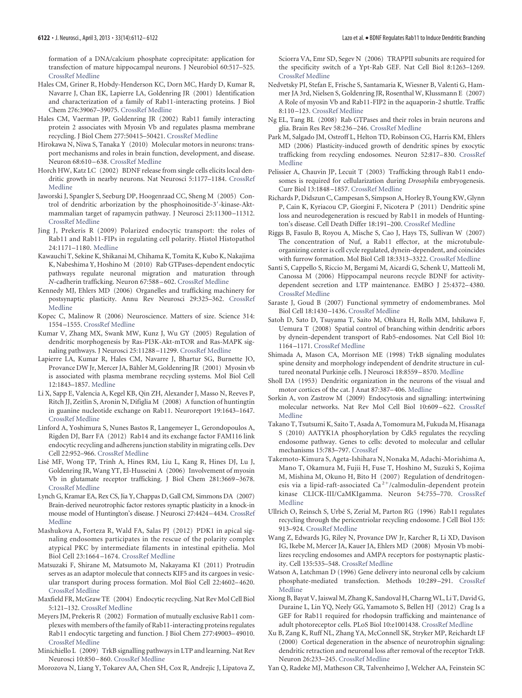formation of a DNA/calcium phosphate coprecipitate: application for transfection of mature hippocampal neurons. J Neurobiol 60:517–525. [CrossRef](http://dx.doi.org/10.1002/neu.20073) [Medline](http://www.ncbi.nlm.nih.gov/pubmed/15307155)

- <span id="page-10-15"></span>Hales CM, Griner R, Hobdy-Henderson KC, Dorn MC, Hardy D, Kumar R, Navarre J, Chan EK, Lapierre LA, Goldenring JR (2001) Identification and characterization of a family of Rab11-interacting proteins. J Biol Chem 276:39067–39075. [CrossRef](http://dx.doi.org/10.1074/jbc.M104831200) [Medline](http://www.ncbi.nlm.nih.gov/pubmed/11495908)
- <span id="page-10-18"></span>Hales CM, Vaerman JP, Goldenring JR (2002) Rab11 family interacting protein 2 associates with Myosin Vb and regulates plasma membrane recycling. J Biol Chem 277:50415–50421. [CrossRef](http://dx.doi.org/10.1074/jbc.M209270200) [Medline](http://www.ncbi.nlm.nih.gov/pubmed/12393859)
- <span id="page-10-27"></span>Hirokawa N, Niwa S, Tanaka Y (2010) Molecular motors in neurons: transport mechanisms and roles in brain function, development, and disease. Neuron 68:610 –638. [CrossRef](http://dx.doi.org/10.1016/j.neuron.2010.09.039) [Medline](http://www.ncbi.nlm.nih.gov/pubmed/21092854)
- <span id="page-10-2"></span>Horch HW, Katz LC (2002) BDNF release from single cells elicits local dendritic growth in nearby neurons. Nat Neurosci 5:1177–1184. [CrossRef](http://dx.doi.org/10.1038/nn927) [Medline](http://www.ncbi.nlm.nih.gov/pubmed/12368805)
- <span id="page-10-4"></span>Jaworski J, Spangler S, Seeburg DP, Hoogenraad CC, Sheng M (2005) Control of dendritic arborization by the phosphoinositide-3 -kinase-Aktmammalian target of rapamycin pathway. J Neurosci 25:11300 –11312. [CrossRef](http://dx.doi.org/10.1523/JNEUROSCI.2270-05.2005) [Medline](http://www.ncbi.nlm.nih.gov/pubmed/16339025)
- <span id="page-10-21"></span>Jing J, Prekeris R (2009) Polarized endocytic transport: the roles of Rab11 and Rab11-FIPs in regulating cell polarity. Histol Histopathol 24:1171–1180. [Medline](http://www.ncbi.nlm.nih.gov/pubmed/19609864)
- <span id="page-10-35"></span>Kawauchi T, Sekine K, Shikanai M, Chihama K, Tomita K, Kubo K, Nakajima K, Nabeshima Y, Hoshino M (2010) Rab GTPases-dependent endocytic pathways regulate neuronal migration and maturation through *N*-cadherin trafficking. Neuron 67:588 –602. [CrossRef](http://dx.doi.org/10.1016/j.neuron.2010.07.007) [Medline](http://www.ncbi.nlm.nih.gov/pubmed/20797536)
- <span id="page-10-11"></span>Kennedy MJ, Ehlers MD (2006) Organelles and trafficking machinery for postsynaptic plasticity. Annu Rev Neurosci 29:325–362. [CrossRef](http://dx.doi.org/10.1146/annurev.neuro.29.051605.112808) [Medline](http://www.ncbi.nlm.nih.gov/pubmed/16776589)
- <span id="page-10-7"></span>Kopec C, Malinow R (2006) Neuroscience. Matters of size. Science 314: 1554 –1555. [CrossRef](http://dx.doi.org/10.1126/science.1137595) [Medline](http://www.ncbi.nlm.nih.gov/pubmed/17158312)
- <span id="page-10-5"></span>Kumar V, Zhang MX, Swank MW, Kunz J, Wu GY (2005) Regulation of dendritic morphogenesis by Ras-PI3K-Akt-mTOR and Ras-MAPK signaling pathways. J Neurosci 25:11288 –11299. [CrossRef](http://dx.doi.org/10.1523/JNEUROSCI.2284-05.2005) [Medline](http://www.ncbi.nlm.nih.gov/pubmed/16339024)
- <span id="page-10-17"></span>Lapierre LA, Kumar R, Hales CM, Navarre J, Bhartur SG, Burnette JO, Provance DW Jr, Mercer JA, Bähler M, Goldenring JR (2001) Myosin vb is associated with plasma membrane recycling systems. Mol Biol Cell 12:1843–1857. [Medline](http://www.ncbi.nlm.nih.gov/pubmed/11408590)
- <span id="page-10-30"></span>Li X, Sapp E, Valencia A, Kegel KB, Qin ZH, Alexander J, Masso N, Reeves P, Ritch JJ, Zeitlin S, Aronin N, Difiglia M (2008) A function of huntingtin in guanine nucleotide exchange on Rab11. Neuroreport 19:1643–1647. [CrossRef](http://dx.doi.org/10.1097/WNR.0b013e328315cd4c) [Medline](http://www.ncbi.nlm.nih.gov/pubmed/18845944)
- <span id="page-10-25"></span>Linford A, Yoshimura S, Nunes Bastos R, Langemeyer L, Gerondopoulos A, Rigden DJ, Barr FA (2012) Rab14 and its exchange factor FAM116 link endocytic recycling and adherens junction stability in migrating cells. Dev Cell 22:952–966. [CrossRef](http://dx.doi.org/10.1016/j.devcel.2012.04.010) [Medline](http://www.ncbi.nlm.nih.gov/pubmed/22595670)
- <span id="page-10-19"></span>Lise´ MF, Wong TP, Trinh A, Hines RM, Liu L, Kang R, Hines DJ, Lu J, Goldenring JR, Wang YT, El-Husseini A (2006) Involvement of myosin Vb in glutamate receptor trafficking. J Biol Chem 281:3669 –3678. [CrossRef](http://dx.doi.org/10.1074/jbc.M511725200) [Medline](http://www.ncbi.nlm.nih.gov/pubmed/16338934)
- <span id="page-10-38"></span>Lynch G, Kramar EA, Rex CS, Jia Y, Chappas D, Gall CM, Simmons DA (2007) Brain-derived neurotrophic factor restores synaptic plasticity in a knock-in mouse model of Huntington's disease. J Neurosci 27:4424 –4434. [CrossRef](http://dx.doi.org/10.1523/JNEUROSCI.5113-06.2007) [Medline](http://www.ncbi.nlm.nih.gov/pubmed/17442827)
- <span id="page-10-33"></span>Mashukova A, Forteza R, Wald FA, Salas PJ (2012) PDK1 in apical signaling endosomes participates in the rescue of the polarity complex atypical PKC by intermediate filaments in intestinal epithelia. Mol Biol Cell 23:1664 –1674. [CrossRef](http://dx.doi.org/10.1091/mbc.E11-12-0988) [Medline](http://www.ncbi.nlm.nih.gov/pubmed/22398726)
- <span id="page-10-28"></span>Matsuzaki F, Shirane M, Matsumoto M, Nakayama KI (2011) Protrudin serves as an adaptor molecule that connects KIF5 and its cargoes in vesicular transport during process formation. Mol Biol Cell 22:4602–4620. [CrossRef](http://dx.doi.org/10.1091/mbc.E11-01-0068) [Medline](http://www.ncbi.nlm.nih.gov/pubmed/21976701)
- <span id="page-10-10"></span>Maxfield FR, McGraw TE (2004) Endocytic recycling. Nat Rev Mol Cell Biol 5:121–132. [CrossRef](http://dx.doi.org/10.1038/nrm1315) [Medline](http://www.ncbi.nlm.nih.gov/pubmed/15040445)
- <span id="page-10-16"></span>Meyers JM, Prekeris R (2002) Formation of mutually exclusive Rab11 complexes with members of the family of Rab11-interacting proteins regulates Rab11 endocytic targeting and function. J Biol Chem 277:49003–49010. [CrossRef](http://dx.doi.org/10.1074/jbc.M205728200) [Medline](http://www.ncbi.nlm.nih.gov/pubmed/12376546)
- <span id="page-10-37"></span>Minichiello L (2009) TrkB signalling pathways in LTP and learning. Nat Rev Neurosci 10:850 –860. [CrossRef](http://dx.doi.org/10.1038/nrn2738) [Medline](http://www.ncbi.nlm.nih.gov/pubmed/19927149)
- <span id="page-10-31"></span>Morozova N, Liang Y, Tokarev AA, Chen SH, Cox R, Andrejic J, Lipatova Z,

Sciorra VA, Emr SD, Segev N (2006) TRAPPII subunits are required for the specificity switch of a Ypt-Rab GEF. Nat Cell Biol 8:1263–1269. [CrossRef](http://dx.doi.org/10.1038/ncb1489) [Medline](http://www.ncbi.nlm.nih.gov/pubmed/17041589)

- <span id="page-10-29"></span>Nedvetsky PI, Stefan E, Frische S, Santamaria K, Wiesner B, Valenti G, Hammer JA 3rd, Nielsen S, Goldenring JR, Rosenthal W, Klussmann E (2007) A Role of myosin Vb and Rab11-FIP2 in the aquaporin-2 shuttle. Traffic 8:110 –123. [CrossRef](http://dx.doi.org/10.1111/j.1600-0854.2006.00508.x) [Medline](http://www.ncbi.nlm.nih.gov/pubmed/17156409)
- <span id="page-10-26"></span>Ng EL, Tang BL (2008) Rab GTPases and their roles in brain neurons and glia. Brain Res Rev 58:236 –246. [CrossRef](http://dx.doi.org/10.1016/j.brainresrev.2008.04.006) [Medline](http://www.ncbi.nlm.nih.gov/pubmed/18485483)
- <span id="page-10-8"></span>Park M, Salgado JM, Ostroff L, Helton TD, Robinson CG, Harris KM, Ehlers MD (2006) Plasticity-induced growth of dendritic spines by exocytic trafficking from recycling endosomes. Neuron 52:817–830. [CrossRef](http://dx.doi.org/10.1016/j.neuron.2006.09.040) [Medline](http://www.ncbi.nlm.nih.gov/pubmed/17145503)
- <span id="page-10-22"></span>Pelissier A, Chauvin JP, Lecuit T (2003) Trafficking through Rab11 endosomes is required for cellularization during *Drosophila* embryogenesis. Curr Biol 13:1848 –1857. [CrossRef](http://dx.doi.org/10.1016/j.cub.2003.10.023) [Medline](http://www.ncbi.nlm.nih.gov/pubmed/14588240)
- <span id="page-10-39"></span>Richards P, Didszun C, Campesan S, Simpson A, Horley B, Young KW, Glynn P, Cain K, Kyriacou CP, Giorgini F, Nicotera P (2011) Dendritic spine loss and neurodegeneration is rescued by Rab11 in models of Huntington's disease. Cell Death Differ 18:191–200. [CrossRef](http://dx.doi.org/10.1038/cdd.2010.127) [Medline](http://www.ncbi.nlm.nih.gov/pubmed/21217767)
- <span id="page-10-23"></span>Riggs B, Fasulo B, Royou A, Mische S, Cao J, Hays TS, Sullivan W (2007) The concentration of Nuf, a Rab11 effector, at the microtubuleorganizing center is cell cycle regulated, dynein-dependent, and coincides with furrow formation. Mol Biol Cell 18:3313–3322. [CrossRef](http://dx.doi.org/10.1091/mbc.E07-02-0146) [Medline](http://www.ncbi.nlm.nih.gov/pubmed/17581858)
- <span id="page-10-36"></span>Santi S, Cappello S, Riccio M, Bergami M, Aicardi G, Schenk U, Matteoli M, Canossa M (2006) Hippocampal neurons recycle BDNF for activitydependent secretion and LTP maintenance. EMBO J 25:4372–4380. [CrossRef](http://dx.doi.org/10.1038/sj.emboj.7601303) [Medline](http://www.ncbi.nlm.nih.gov/pubmed/16957779)
- <span id="page-10-12"></span>Saraste J, Goud B (2007) Functional symmetry of endomembranes. Mol Biol Cell 18:1430 –1436. [CrossRef](http://dx.doi.org/10.1091/mbc.E06-10-0933) [Medline](http://www.ncbi.nlm.nih.gov/pubmed/17267686)
- <span id="page-10-6"></span>Satoh D, Sato D, Tsuyama T, Saito M, Ohkura H, Rolls MM, Ishikawa F, Uemura T (2008) Spatial control of branching within dendritic arbors by dynein-dependent transport of Rab5-endosomes. Nat Cell Biol 10: 1164 –1171. [CrossRef](http://dx.doi.org/10.1038/ncb1776) [Medline](http://www.ncbi.nlm.nih.gov/pubmed/18758452)
- <span id="page-10-13"></span>Shimada A, Mason CA, Morrison ME (1998) TrkB signaling modulates spine density and morphology independent of dendrite structure in cultured neonatal Purkinje cells. J Neurosci 18:8559 –8570. [Medline](http://www.ncbi.nlm.nih.gov/pubmed/9786964)
- <span id="page-10-14"></span>Sholl DA (1953) Dendritic organization in the neurons of the visual and motor cortices of the cat. J Anat 87:387–406. [Medline](http://www.ncbi.nlm.nih.gov/pubmed/13117757)
- <span id="page-10-34"></span>Sorkin A, von Zastrow M (2009) Endocytosis and signalling: intertwining molecular networks. Nat Rev Mol Cell Biol 10:609 –622. [CrossRef](http://dx.doi.org/10.1038/nrm2748) [Medline](http://www.ncbi.nlm.nih.gov/pubmed/19696798)
- <span id="page-10-24"></span>Takano T, Tsutsumi K, Saito T, Asada A, Tomomura M, Fukuda M, Hisanaga S (2010) AATYK1A phosphorylation by Cdk5 regulates the recycling endosome pathway. Genes to cells: devoted to molecular and cellular mechanisms 15:783–797. [CrossRef](http://dx.doi.org/10.1111/j.1365-2443.2010.01419.x)
- <span id="page-10-3"></span>Takemoto-Kimura S, Ageta-Ishihara N, Nonaka M, Adachi-Morishima A, Mano T, Okamura M, Fujii H, Fuse T, Hoshino M, Suzuki S, Kojima M, Mishina M, Okuno H, Bito H (2007) Regulation of dendritogenesis via a lipid-raft-associated  $Ca^{2+}/cal$ calmodulin-dependent protein kinase CLICK-III/CaMKIgamma. Neuron 54:755–770. [CrossRef](http://dx.doi.org/10.1016/j.neuron.2007.05.021) [Medline](http://www.ncbi.nlm.nih.gov/pubmed/17553424)
- <span id="page-10-9"></span>Ullrich O, Reinsch S, Urbé S, Zerial M, Parton RG (1996) Rab11 regulates recycling through the pericentriolar recycling endosome. J Cell Biol 135: 913–924. [CrossRef](http://dx.doi.org/10.1083/jcb.135.4.913) [Medline](http://www.ncbi.nlm.nih.gov/pubmed/8922376)
- <span id="page-10-20"></span>Wang Z, Edwards JG, Riley N, Provance DW Jr, Karcher R, Li XD, Davison IG, Ikebe M, Mercer JA, Kauer JA, Ehlers MD (2008) Myosin Vb mobilizes recycling endosomes and AMPA receptors for postsynaptic plasticity. Cell 135:535–548. [CrossRef](http://dx.doi.org/10.1016/j.cell.2008.09.057) [Medline](http://www.ncbi.nlm.nih.gov/pubmed/18984164)
- Watson A, Latchman D (1996) Gene delivery into neuronal cells by calcium phosphate-mediated transfection. Methods 10:289 –291. [CrossRef](http://dx.doi.org/10.1006/meth.1996.0105) [Medline](http://www.ncbi.nlm.nih.gov/pubmed/8954840)
- <span id="page-10-32"></span>Xiong B, Bayat V, Jaiswal M, Zhang K, Sandoval H, CharngWL, Li T, David G, Duraine L, Lin YQ, Neely GG, Yamamoto S, Bellen HJ (2012) Crag Is a GEF for Rab11 required for rhodopsin trafficking and maintenance of adult photoreceptor cells. PLoS Biol 10:e1001438. [CrossRef](http://dx.doi.org/10.1371/journal.pbio.1001438) [Medline](http://www.ncbi.nlm.nih.gov/pubmed/23226104)
- <span id="page-10-1"></span>Xu B, Zang K, Ruff NL, Zhang YA, McConnell SK, Stryker MP, Reichardt LF (2000) Cortical degeneration in the absence of neurotrophin signaling: dendritic retraction and neuronal loss after removal of the receptor TrkB. Neuron 26:233–245. [CrossRef](http://dx.doi.org/10.1016/S0896-6273(00)81153-8) [Medline](http://www.ncbi.nlm.nih.gov/pubmed/10798407)
- <span id="page-10-0"></span>Yan Q, Radeke MJ, Matheson CR, Talvenheimo J, Welcher AA, Feinstein SC